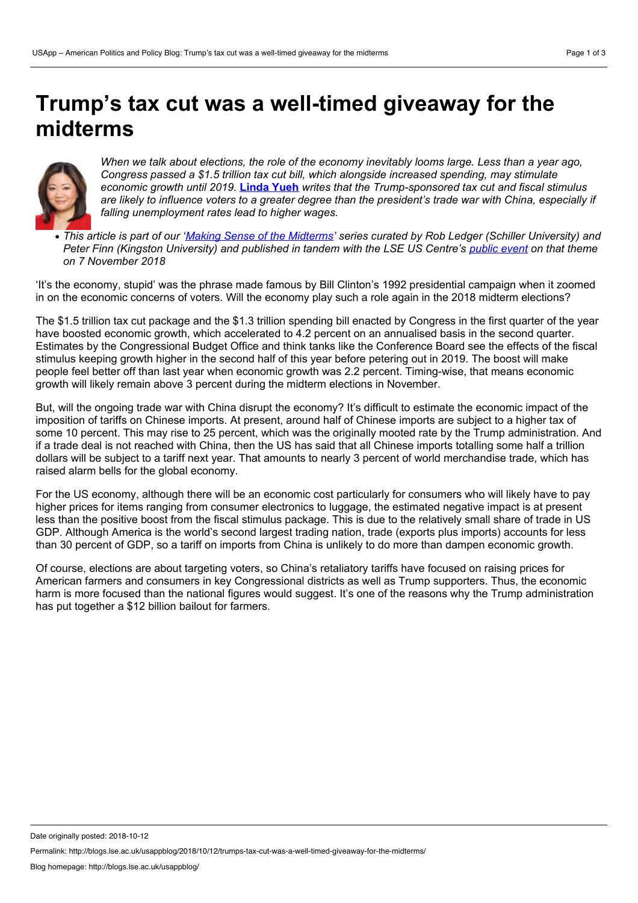## **Trump's tax cut was a well-timed giveaway for the midterms**



When we talk about elections, the role of the economy inevitably looms large. Less than a vear ago. *Congress passed a \$1.5 trillion tax cutbill, which alongside increased spending, may stimulate economic growth until 2019.* **[Linda](https://wp.me/p3I2YF-8cM#Author) Yueh** *writes that the Trump-sponsored tax cutand fiscal stimulus* are likely to influence voters to a greater degree than the president's trade war with China, especially if *falling unemployment rates lead to higher wages.*

• This article is part of our 'Making Sense of the [Midterms'](http://blogs.lse.ac.uk/usappblog/making-sense-of-the-2018-midterm-elections/) series curated by Rob Ledger (Schiller University) and Peter Finn (Kingston University) and published in tandem with the LSE US Centre's [public](http://www.lse.ac.uk/Events/2018/11/20181107t1830vSZT/making-sense) event on that theme *on 7 November 2018*

'It's the economy, stupid' was the phrase made famous by Bill Clinton's 1992 presidential campaign when it zoomed in on the economic concerns of voters. Will the economy play such a role again in the 2018 midterm elections?

The \$1.5 trillion tax cut package and the \$1.3 trillion spending bill enacted by Congress in the first quarter of the year have boosted economic growth, which accelerated to 4.2 percent on an annualised basis in the second quarter. Estimates by the Congressional Budget Office and think tanks like the Conference Board see the effects of the fiscal stimulus keeping growth higher in the second half of this year before petering out in 2019. The boost will make people feel better off than last year when economic growth was 2.2 percent. Timing-wise, that means economic growth will likely remain above 3 percent during the midterm elections in November.

But, will the ongoing trade war with China disrupt the economy? It's difficult to estimate the economic impact of the imposition of tariffs on Chinese imports. At present, around half of Chinese imports are subject to a higher tax of some 10 percent. This may rise to 25 percent, which was the originally mooted rate by the Trump administration. And if a trade deal is not reached with China, then the US has said that all Chinese imports totalling some half a trillion dollars will be subject to a tariff next year. That amounts to nearly 3 percent of world merchandise trade, which has raised alarm bells for the global economy.

For the US economy, although there will be an economic cost particularly for consumers who will likely have to pay higher prices for items ranging from consumer electronics to luggage, the estimated negative impact is at present less than the positive boost from the fiscal stimulus package. This is due to the relatively small share of trade in US GDP. Although America is the world's second largest trading nation, trade (exports plus imports) accounts for less than 30 percent of GDP, so a tariff on imports from China is unlikely to do more than dampen economic growth.

Of course, elections are about targeting voters, so China's retaliatory tariffs have focused on raising prices for American farmers and consumers in key Congressional districts as wellas Trump supporters. Thus, the economic harm is more focused than the national figures would suggest. It's one of the reasons why the Trump administration has put together a \$12 billion bailout for farmers.

Date originally posted: 2018-10-12

Permalink: http://blogs.lse.ac.uk/usappblog/2018/10/12/trumps-tax-cut-was-a-well-timed-giveaway-for-the-midterms/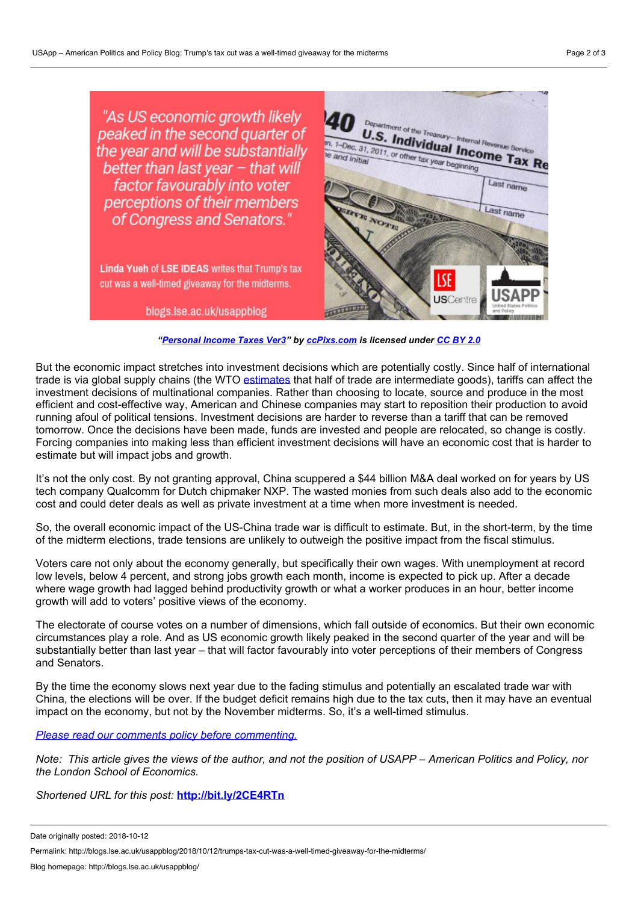

*["Personal](https://www.flickr.com/photos/86530412@N02/8265014953) Income Taxes Ver3" by [ccPixs.com](http://www.ccpixs.com/) is licensed under [CC](https://creativecommons.org/licenses/by/2.0/) BY 2.0*

But the economic impact stretches into investment decisions which are potentially costly. Since half of international trade is via global supply chains (the WTO [estimates](https://www.wto.org/english/res_e/statis_e/wts2018_e/wts2018chapter08_e.pdf) that half of trade are intermediate goods), tariffs can affect the investment decisions of multinational companies. Rather than choosing to locate, source and produce in the most efficient and cost-effective way, American and Chinese companies may start to reposition their production to avoid running afoul of political tensions. Investment decisions are harder to reverse than a tariff that can be removed tomorrow. Once the decisions have been made, funds are invested and people are relocated, so change is costly. Forcing companies into making less than efficient investment decisions will have an economic cost that is harder to estimate but will impact jobs and growth.

It's not the only cost. By not granting approval, China scuppered a \$44 billion M&A deal worked on for years by US tech company Qualcomm for Dutch chipmaker NXP. The wasted monies from such deals also add to the economic cost and could deter deals as well as private investment at a time when more investment is needed.

So, the overall economic impact of the US-China trade war is difficult to estimate. But, in the short-term, by the time of the midterm elections, trade tensions are unlikely to outweigh the positive impact from the fiscal stimulus.

Voters care not only about the economy generally, but specifically their own wages. With unemployment at record low levels, below 4 percent, and strong jobs growth each month, income is expected to pick up. After a decade where wage growth had lagged behind productivity growth or what a worker produces in an hour, better income growth will add to voters' positive views of the economy.

The electorate of course votes on a number of dimensions, which fall outside of economics. But their own economic circumstances play a role. And as US economic growth likely peaked in the second quarter of the year and will be substantially better than last year – that will factor favourably into voter perceptions of their members of Congress and Senators.

By the time the economy slows next year due to the fading stimulus and potentially an escalated trade war with China, the elections will be over. If the budget deficit remains high due to the tax cuts, then it may have an eventual impact on the economy, but not by the November midterms. So, it's a well-timed stimulus.

*Please read our comments policy before [commenting.](http://blogs.lse.ac.uk/usappblog/comments-policy/)*

Note: This article gives the views of the author, and not the position of USAPP – American Politics and Policy, nor *the London School of Economics.*

*Shortened URL for this post:* **<http://bit.ly/2CE4RTn>**

Date originally posted: 2018-10-12

Permalink: http://blogs.lse.ac.uk/usappblog/2018/10/12/trumps-tax-cut-was-a-well-timed-giveaway-for-the-midterms/